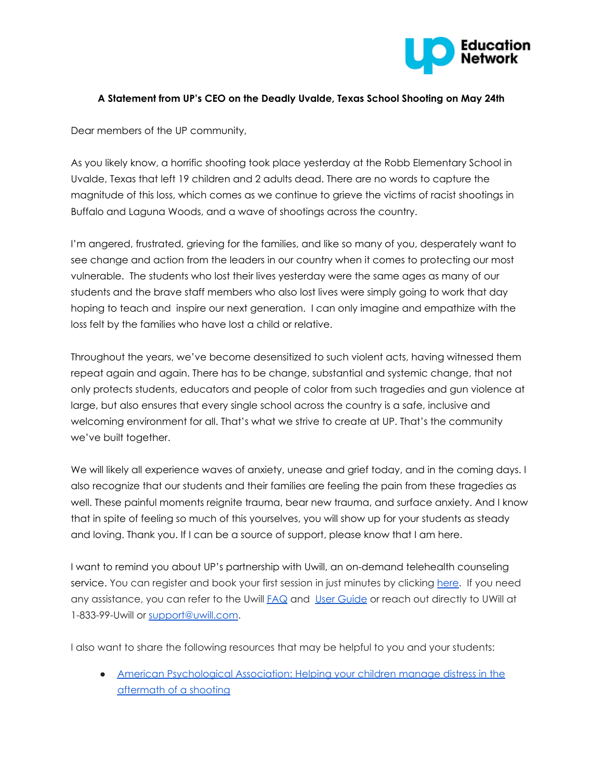

## **A Statement from UP's CEO on the Deadly Uvalde, Texas School Shooting on May 24th**

Dear members of the UP community,

As you likely know, a horrific shooting took place yesterday at the Robb Elementary School in Uvalde, Texas that left 19 children and 2 adults dead. There are no words to capture the magnitude of this loss, which comes as we continue to grieve the victims of racist shootings in Buffalo and Laguna Woods, and a wave of shootings across the country.

I'm angered, frustrated, grieving for the families, and like so many of you, desperately want to see change and action from the leaders in our country when it comes to protecting our most vulnerable. The students who lost their lives yesterday were the same ages as many of our students and the brave staff members who also lost lives were simply going to work that day hoping to teach and inspire our next generation. I can only imagine and empathize with the loss felt by the families who have lost a child or relative.

Throughout the years, we've become desensitized to such violent acts, having witnessed them repeat again and again. There has to be change, substantial and systemic change, that not only protects students, educators and people of color from such tragedies and gun violence at large, but also ensures that every single school across the country is a safe, inclusive and welcoming environment for all. That's what we strive to create at UP. That's the community we've built together.

We will likely all experience waves of anxiety, unease and grief today, and in the coming days. I also recognize that our students and their families are feeling the pain from these tragedies as well. These painful moments reignite trauma, bear new trauma, and surface anxiety. And I know that in spite of feeling so much of this yourselves, you will show up for your students as steady and loving. Thank you. If I can be a source of support, please know that I am here.

I want to remind you about UP's partnership with Uwill, an on-demand telehealth counseling service. You can register and book your first session in just minutes by clicking [here](http://app.uwill.com/). If you need any assistance, you can refer to the Uwill **[FAQ](https://docs.google.com/presentation/d/1w0fIRUf6nDhvbUfGb8KZXPnaDV4otqrz/edit#slide=id.p1)** and User [Guide](https://drive.google.com/file/d/1X9rrt9Zi6h85-dzoaIVo5UlAwMOU5W_b/view?usp=sharing) or reach out directly to UWill at 1-833-99-Uwill or [support@uwill.com.](mailto:support@uwill.com)

I also want to share the following resources that may be helpful to you and your students:

● American [Psychological](https://www.apa.org/topics/gun-violence-crime/shooting-aftermath) Association: Helping your children manage distress in the [aftermath](https://www.apa.org/topics/gun-violence-crime/shooting-aftermath) of a shooting